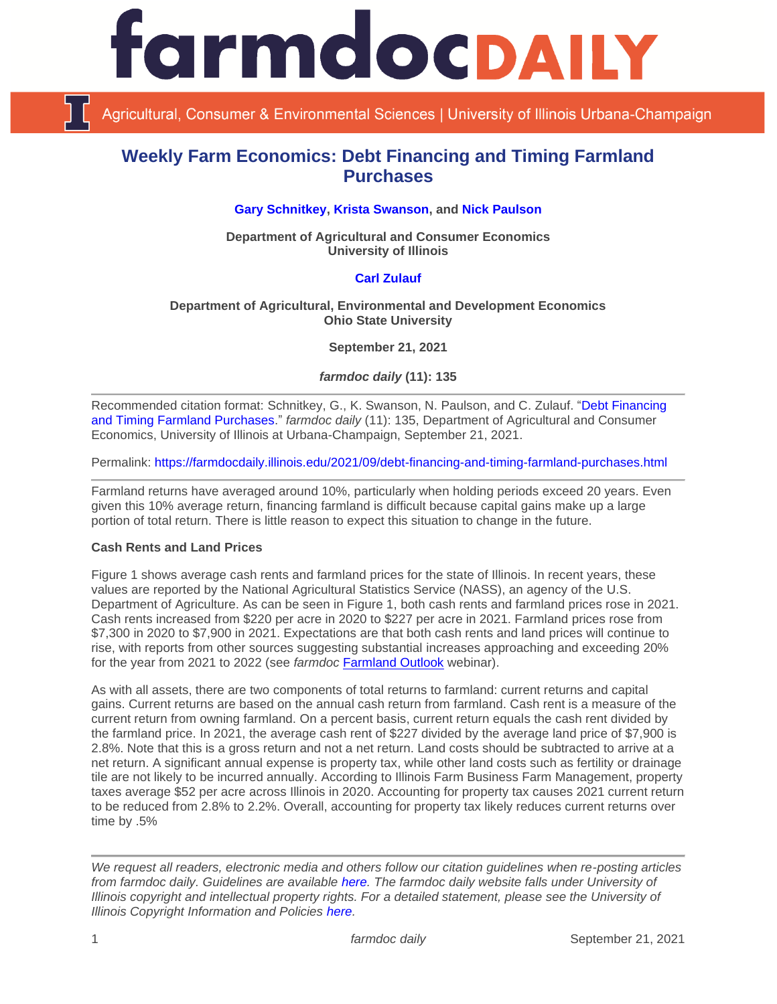

Agricultural, Consumer & Environmental Sciences | University of Illinois Urbana-Champaign

# **Weekly Farm Economics: Debt Financing and Timing Farmland Purchases**

# **[Gary Schnitkey,](https://ace.illinois.edu/directory/schnitke) [Krista Swanson,](https://ace.illinois.edu/directory/krista) and [Nick Paulson](https://ace.illinois.edu/directory/npaulson)**

**Department of Agricultural and Consumer Economics University of Illinois**

#### **[Carl Zulauf](http://aede.osu.edu/our-people/carl-zulauf)**

#### **Department of Agricultural, Environmental and Development Economics Ohio State University**

**September 21, 2021**

*farmdoc daily* **(11): 135**

Recommended citation format: Schnitkey, G., K. Swanson, N. Paulson, and C. Zulauf. ["Debt Financing](https://farmdocdaily.illinois.edu/2021/09/debt-financing-and-timing-farmland-purchases.html)  [and Timing Farmland Purchases.](https://farmdocdaily.illinois.edu/2021/09/debt-financing-and-timing-farmland-purchases.html)" *farmdoc daily* (11): 135, Department of Agricultural and Consumer Economics, University of Illinois at Urbana-Champaign, September 21, 2021.

Permalink:<https://farmdocdaily.illinois.edu/2021/09/debt-financing-and-timing-farmland-purchases.html>

Farmland returns have averaged around 10%, particularly when holding periods exceed 20 years. Even given this 10% average return, financing farmland is difficult because capital gains make up a large portion of total return. There is little reason to expect this situation to change in the future.

# **Cash Rents and Land Prices**

Figure 1 shows average cash rents and farmland prices for the state of Illinois. In recent years, these values are reported by the National Agricultural Statistics Service (NASS), an agency of the U.S. Department of Agriculture. As can be seen in Figure 1, both cash rents and farmland prices rose in 2021. Cash rents increased from \$220 per acre in 2020 to \$227 per acre in 2021. Farmland prices rose from \$7,300 in 2020 to \$7,900 in 2021. Expectations are that both cash rents and land prices will continue to rise, with reports from other sources suggesting substantial increases approaching and exceeding 20% for the year from 2021 to 2022 (see *farmdoc* [Farmland Outlook](https://farmdoc.illinois.edu/webinar/farmland-and-price-outlook) webinar).

As with all assets, there are two components of total returns to farmland: current returns and capital gains. Current returns are based on the annual cash return from farmland. Cash rent is a measure of the current return from owning farmland. On a percent basis, current return equals the cash rent divided by the farmland price. In 2021, the average cash rent of \$227 divided by the average land price of \$7,900 is 2.8%. Note that this is a gross return and not a net return. Land costs should be subtracted to arrive at a net return. A significant annual expense is property tax, while other land costs such as fertility or drainage tile are not likely to be incurred annually. According to Illinois Farm Business Farm Management, property taxes average \$52 per acre across Illinois in 2020. Accounting for property tax causes 2021 current return to be reduced from 2.8% to 2.2%. Overall, accounting for property tax likely reduces current returns over time by .5%

*We request all readers, electronic media and others follow our citation guidelines when re-posting articles from farmdoc daily. Guidelines are available [here.](http://farmdocdaily.illinois.edu/citationguide.html) The farmdoc daily website falls under University of Illinois copyright and intellectual property rights. For a detailed statement, please see the University of Illinois Copyright Information and Policies [here.](http://www.cio.illinois.edu/policies/copyright/)*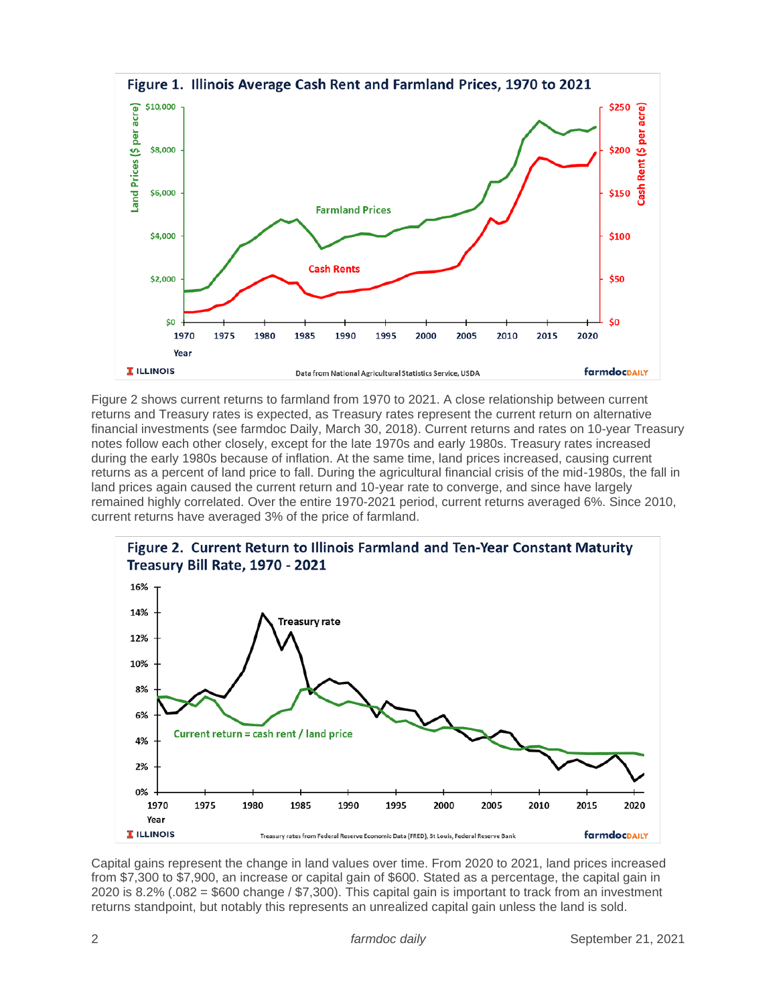

Figure 2 shows current returns to farmland from 1970 to 2021. A close relationship between current returns and Treasury rates is expected, as Treasury rates represent the current return on alternative financial investments (see farmdoc Daily, March 30, 2018). Current returns and rates on 10-year Treasury notes follow each other closely, except for the late 1970s and early 1980s. Treasury rates increased during the early 1980s because of inflation. At the same time, land prices increased, causing current returns as a percent of land price to fall. During the agricultural financial crisis of the mid-1980s, the fall in land prices again caused the current return and 10-year rate to converge, and since have largely remained highly correlated. Over the entire 1970-2021 period, current returns averaged 6%. Since 2010, current returns have averaged 3% of the price of farmland.



# Figure 2. Current Return to Illinois Farmland and Ten-Year Constant Maturity

Capital gains represent the change in land values over time. From 2020 to 2021, land prices increased from \$7,300 to \$7,900, an increase or capital gain of \$600. Stated as a percentage, the capital gain in 2020 is 8.2% (.082 = \$600 change / \$7,300). This capital gain is important to track from an investment returns standpoint, but notably this represents an unrealized capital gain unless the land is sold.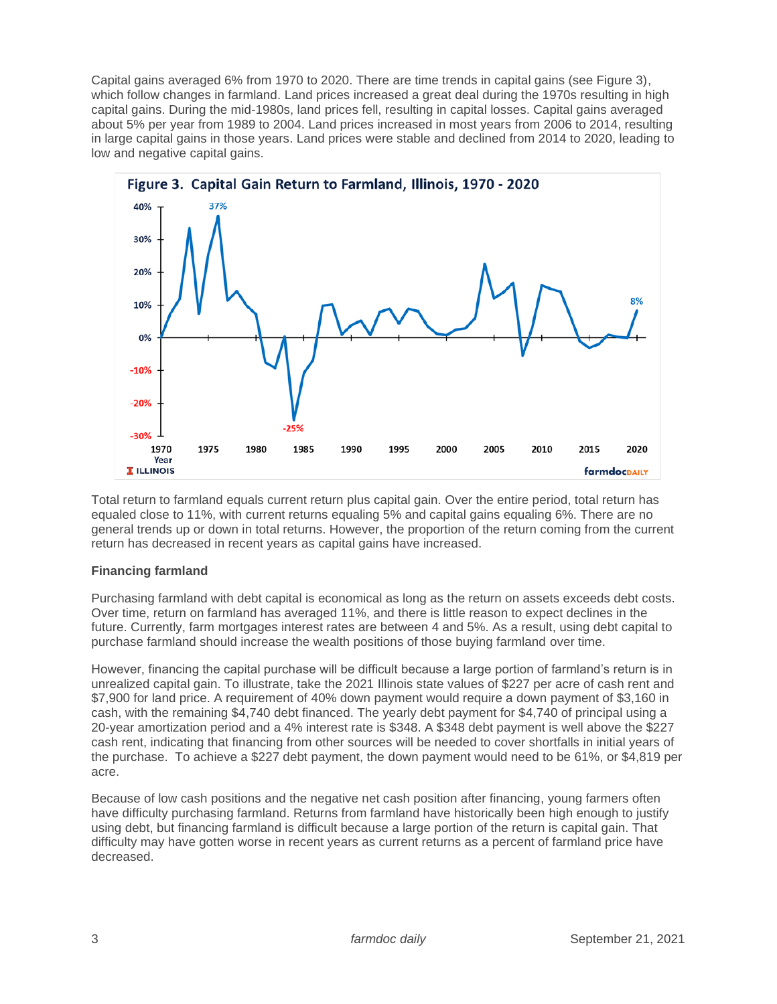Capital gains averaged 6% from 1970 to 2020. There are time trends in capital gains (see Figure 3), which follow changes in farmland. Land prices increased a great deal during the 1970s resulting in high capital gains. During the mid-1980s, land prices fell, resulting in capital losses. Capital gains averaged about 5% per year from 1989 to 2004. Land prices increased in most years from 2006 to 2014, resulting in large capital gains in those years. Land prices were stable and declined from 2014 to 2020, leading to low and negative capital gains.



Total return to farmland equals current return plus capital gain. Over the entire period, total return has equaled close to 11%, with current returns equaling 5% and capital gains equaling 6%. There are no general trends up or down in total returns. However, the proportion of the return coming from the current return has decreased in recent years as capital gains have increased.

# **Financing farmland**

Purchasing farmland with debt capital is economical as long as the return on assets exceeds debt costs. Over time, return on farmland has averaged 11%, and there is little reason to expect declines in the future. Currently, farm mortgages interest rates are between 4 and 5%. As a result, using debt capital to purchase farmland should increase the wealth positions of those buying farmland over time.

However, financing the capital purchase will be difficult because a large portion of farmland's return is in unrealized capital gain. To illustrate, take the 2021 Illinois state values of \$227 per acre of cash rent and \$7,900 for land price. A requirement of 40% down payment would require a down payment of \$3,160 in cash, with the remaining \$4,740 debt financed. The yearly debt payment for \$4,740 of principal using a 20-year amortization period and a 4% interest rate is \$348. A \$348 debt payment is well above the \$227 cash rent, indicating that financing from other sources will be needed to cover shortfalls in initial years of the purchase. To achieve a \$227 debt payment, the down payment would need to be 61%, or \$4,819 per acre.

Because of low cash positions and the negative net cash position after financing, young farmers often have difficulty purchasing farmland. Returns from farmland have historically been high enough to justify using debt, but financing farmland is difficult because a large portion of the return is capital gain. That difficulty may have gotten worse in recent years as current returns as a percent of farmland price have decreased.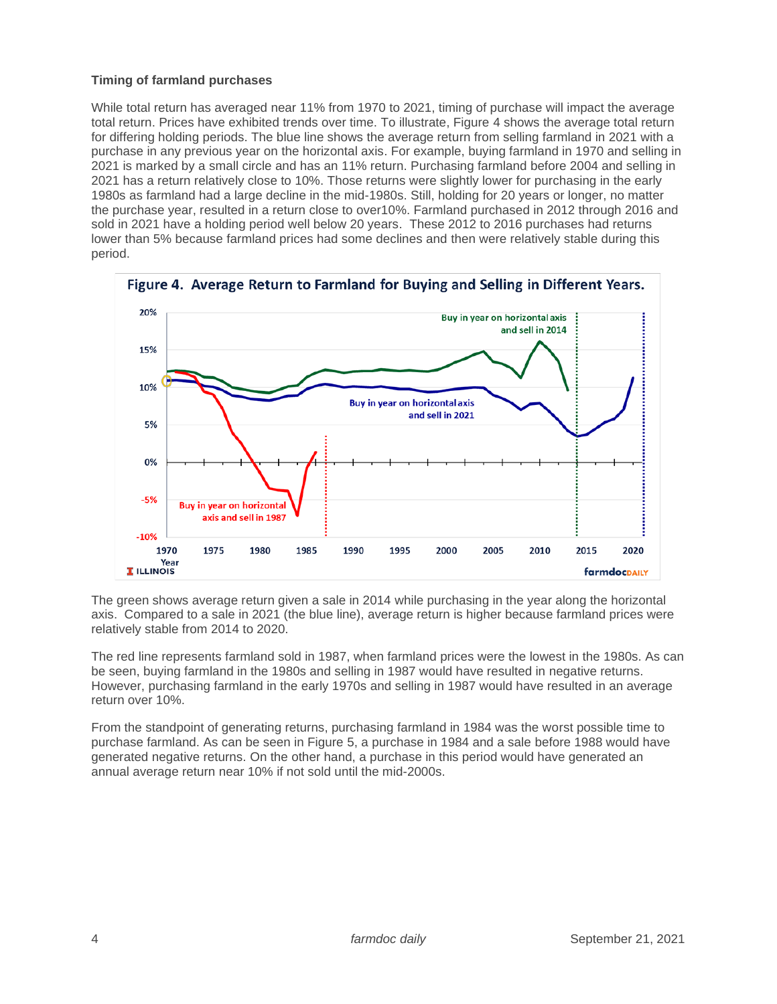# **Timing of farmland purchases**

While total return has averaged near 11% from 1970 to 2021, timing of purchase will impact the average total return. Prices have exhibited trends over time. To illustrate, Figure 4 shows the average total return for differing holding periods. The blue line shows the average return from selling farmland in 2021 with a purchase in any previous year on the horizontal axis. For example, buying farmland in 1970 and selling in 2021 is marked by a small circle and has an 11% return. Purchasing farmland before 2004 and selling in 2021 has a return relatively close to 10%. Those returns were slightly lower for purchasing in the early 1980s as farmland had a large decline in the mid-1980s. Still, holding for 20 years or longer, no matter the purchase year, resulted in a return close to over10%. Farmland purchased in 2012 through 2016 and sold in 2021 have a holding period well below 20 years. These 2012 to 2016 purchases had returns lower than 5% because farmland prices had some declines and then were relatively stable during this period.



The green shows average return given a sale in 2014 while purchasing in the year along the horizontal axis. Compared to a sale in 2021 (the blue line), average return is higher because farmland prices were relatively stable from 2014 to 2020.

The red line represents farmland sold in 1987, when farmland prices were the lowest in the 1980s. As can be seen, buying farmland in the 1980s and selling in 1987 would have resulted in negative returns. However, purchasing farmland in the early 1970s and selling in 1987 would have resulted in an average return over 10%.

From the standpoint of generating returns, purchasing farmland in 1984 was the worst possible time to purchase farmland. As can be seen in Figure 5, a purchase in 1984 and a sale before 1988 would have generated negative returns. On the other hand, a purchase in this period would have generated an annual average return near 10% if not sold until the mid-2000s.